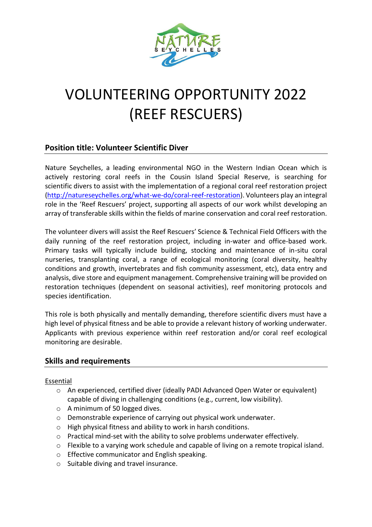

# VOLUNTEERING OPPORTUNITY 2022 (REEF RESCUERS)

## **Position title: Volunteer Scientific Diver**

Nature Seychelles, a leading environmental NGO in the Western Indian Ocean which is actively restoring coral reefs in the Cousin Island Special Reserve, is searching for scientific divers to assist with the implementation of a regional coral reef restoration project [\(http://natureseychelles.org/what-we-do/coral-reef-restoration\)](http://natureseychelles.org/what-we-do/coral-reef-restoration). Volunteers play an integral role in the 'Reef Rescuers' project, supporting all aspects of our work whilst developing an array of transferable skills within the fields of marine conservation and coral reef restoration.

The volunteer divers will assist the Reef Rescuers' Science & Technical Field Officers with the daily running of the reef restoration project, including in-water and office-based work. Primary tasks will typically include building, stocking and maintenance of in-situ coral nurseries, transplanting coral, a range of ecological monitoring (coral diversity, healthy conditions and growth, invertebrates and fish community assessment, etc), data entry and analysis, dive store and equipment management. Comprehensive training will be provided on restoration techniques (dependent on seasonal activities), reef monitoring protocols and species identification.

This role is both physically and mentally demanding, therefore scientific divers must have a high level of physical fitness and be able to provide a relevant history of working underwater. Applicants with previous experience within reef restoration and/or coral reef ecological monitoring are desirable.

## **Skills and requirements**

#### Essential

- o An experienced, certified diver (ideally PADI Advanced Open Water or equivalent) capable of diving in challenging conditions (e.g., current, low visibility).
- o A minimum of 50 logged dives.
- o Demonstrable experience of carrying out physical work underwater.
- o High physical fitness and ability to work in harsh conditions.
- o Practical mind-set with the ability to solve problems underwater effectively.
- o Flexible to a varying work schedule and capable of living on a remote tropical island.
- o Effective communicator and English speaking.
- o Suitable diving and travel insurance.